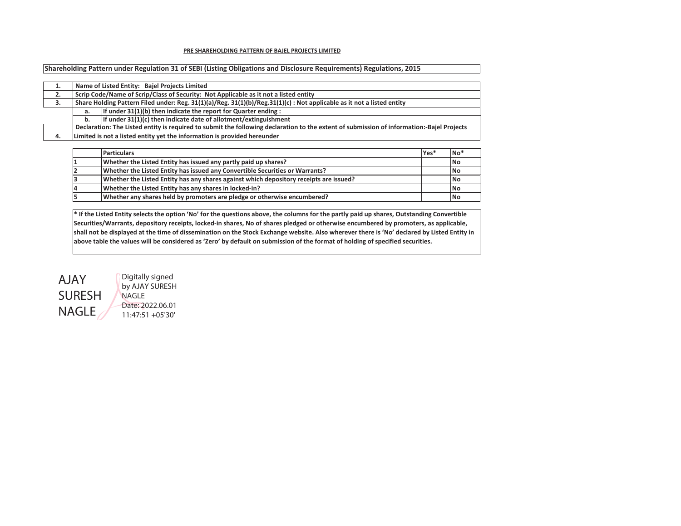## **PRE SHAREHOLDING PATTERN OF BAJEL PROJECTS LIMITED**

**Shareholding Pattern under Regulation 31 of SEBI (Listing Obligations and Disclosure Requirements) Regulations, 2015**

| . . |    | Name of Listed Entity: Bajel Projects Limited                                                                                             |
|-----|----|-------------------------------------------------------------------------------------------------------------------------------------------|
|     |    |                                                                                                                                           |
| 2.  |    | Scrip Code/Name of Scrip/Class of Security: Not Applicable as it not a listed entity                                                      |
| 3.  |    | Share Holding Pattern Filed under: Reg. $31(1)(a)/Reg. 31(1)(b)/Reg. 31(1)(c)$ : Not applicable as it not a listed entity                 |
|     | а. | If under 31(1)(b) then indicate the report for Quarter ending :                                                                           |
|     | b. | If under 31(1)(c) then indicate date of allotment/extinguishment                                                                          |
|     |    | Declaration: The Listed entity is required to submit the following declaration to the extent of submission of information:-Bajel Projects |
| 4.  |    | Limited is not a listed entity yet the information is provided hereunder                                                                  |

|    | <b>Particulars</b>                                                                     | lYes* | INo <sup>*</sup> |
|----|----------------------------------------------------------------------------------------|-------|------------------|
|    | Whether the Listed Entity has issued any partly paid up shares?                        |       | <b>INo</b>       |
|    | Whether the Listed Entity has issued any Convertible Securities or Warrants?           |       | <b>INo</b>       |
| 13 | Whether the Listed Entity has any shares against which depository receipts are issued? |       | <b>INo</b>       |
| 14 | Whether the Listed Entity has any shares in locked-in?                                 |       | <b>INo</b>       |
| 15 | Whether any shares held by promoters are pledge or otherwise encumbered?               |       | <b>INo</b>       |

**\* If the Listed Entity selects the option 'No' for the questions above, the columns for the partly paid up shares, Outstanding Convertible Securities/Warrants, depository receipts, locked-in shares, No of shares pledged or otherwise encumbered by promoters, as applicable, shall not be displayed at the time of dissemination on the Stock Exchange website. Also wherever there is 'No' declared by Listed Entity in above table the values will be considered as 'Zero' by default on submission of the format of holding of specified securities.**



Digitally signed by AJAY SURESH Date: 2022.06.01 11:47:51 +05'30'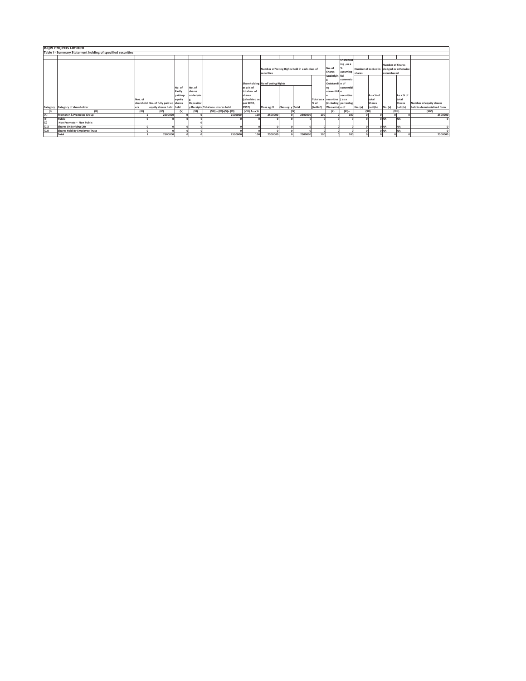|      | <b>Bajel Projects Limited</b>                               |         |                                       |                                  |                               |                                   |                                     |                                                             |         |           |                                    |                                    |         |                                          |                                       |               |                             |
|------|-------------------------------------------------------------|---------|---------------------------------------|----------------------------------|-------------------------------|-----------------------------------|-------------------------------------|-------------------------------------------------------------|---------|-----------|------------------------------------|------------------------------------|---------|------------------------------------------|---------------------------------------|---------------|-----------------------------|
|      | Table I - Summary Statement holding of specified securities |         |                                       |                                  |                               |                                   |                                     |                                                             |         |           |                                    |                                    |         |                                          |                                       |               |                             |
|      |                                                             |         |                                       |                                  |                               |                                   |                                     |                                                             |         |           |                                    |                                    |         |                                          |                                       |               |                             |
|      |                                                             |         |                                       |                                  |                               |                                   |                                     | Number of Voting Rights held in each class of<br>securities |         |           | No. of<br>Shares<br>Underlyin full | Sharehold<br>ing, as a<br>assuming | shares  | Number of Locked in pledged or otherwise | <b>Number of Shares</b><br>encumbered |               |                             |
|      |                                                             |         |                                       | Shareholding No of Voting Rights |                               |                                   | Outstandi n of                      | conversio                                                   |         |           |                                    |                                    |         |                                          |                                       |               |                             |
|      |                                                             |         |                                       | No. of<br>Partly<br>paid-up      | No. of<br>shares<br>underlyin |                                   | as a % of<br>total no, of<br>shares |                                                             |         |           | convertibl e                       | convertibl<br>securities           |         | As a % of                                |                                       | As a % of     |                             |
|      |                                                             | Nos. of |                                       | equity                           |                               |                                   | (calculated as                      |                                                             |         |           | Total as a securities (as a        |                                    |         | total                                    |                                       | total         |                             |
|      |                                                             |         | sharehold No. of fully paid up shares |                                  | Depositor                     |                                   | per SCRR,                           |                                                             |         | % of      |                                    | (including percentag               |         | Shares                                   |                                       | <b>Shares</b> | Number of equity shares     |
|      | Category Category of shareholder                            | ers     | equity shares held held               |                                  |                               | y Receipts Total nos. shares held | 1957)                               | Class eg: X Class eg: y Total                               |         | $(A+B+C)$ | Warrants) e of                     |                                    | No. (a) | held(b)                                  | No. (a)                               | held(b)       | held in dematerialised form |
|      | (II)                                                        | (III)   | (IV)                                  | (v)                              | (VI)                          | $(VII) = (IV)+(V)+(VI)$           | (VIII) As a %                       |                                                             |         |           | (X)                                | $(XI) =$                           |         | (X  )                                    |                                       | (XIII)        | (XIV)                       |
| (A)  | Promoter & Promoter Group                                   |         | 2500000                               |                                  |                               | 2500000                           | 100                                 | 2500000                                                     | 2500000 | 100       |                                    | 100                                |         |                                          |                                       |               | 2500000                     |
| (B)  | Public                                                      |         |                                       |                                  |                               |                                   |                                     |                                                             |         |           |                                    |                                    |         |                                          | 0 NA                                  | <b>NA</b>     |                             |
| (C)  | Non Promoter - Non Public                                   |         |                                       |                                  |                               |                                   |                                     |                                                             |         |           |                                    |                                    |         |                                          |                                       |               |                             |
| (C1) | <b>Shares Underlying DRs</b>                                |         |                                       |                                  |                               |                                   |                                     |                                                             |         |           |                                    |                                    |         |                                          | 0 <sub>NA</sub>                       | <b>NA</b>     |                             |
| (C2) | Shares Held By Employee Trust                               |         |                                       |                                  |                               |                                   |                                     |                                                             |         |           |                                    |                                    |         |                                          | 0 <sub>NA</sub>                       | <b>NA</b>     |                             |
|      | Total                                                       |         | 2500000                               |                                  |                               | 2500000                           | 100                                 | 2500000                                                     | 2500000 | 100       |                                    | 100                                |         |                                          |                                       |               | 2500000                     |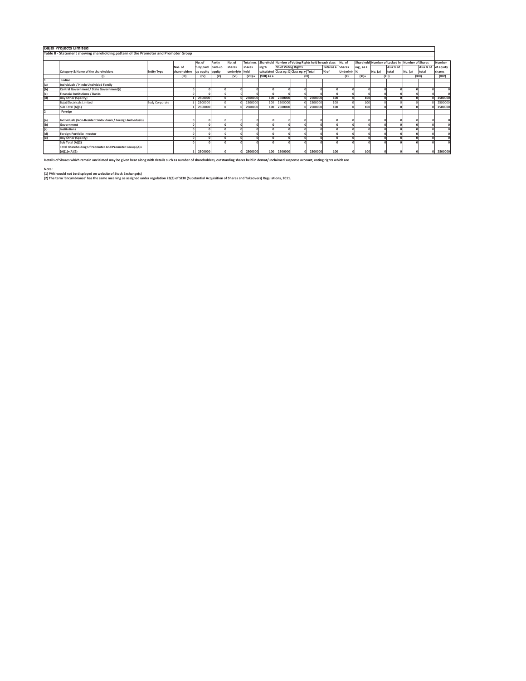|     | <b>Bajel Projects Limited</b>                                                        |                    |                               |                    |        |                |           |                                                                 |                            |         |                   |             |           |         |                                                |         |           |           |
|-----|--------------------------------------------------------------------------------------|--------------------|-------------------------------|--------------------|--------|----------------|-----------|-----------------------------------------------------------------|----------------------------|---------|-------------------|-------------|-----------|---------|------------------------------------------------|---------|-----------|-----------|
|     |                                                                                      |                    |                               |                    |        |                |           |                                                                 |                            |         |                   |             |           |         |                                                |         |           |           |
|     | Table II - Statement showing shareholding pattern of the Promoter and Promoter Group |                    |                               |                    |        |                |           |                                                                 |                            |         |                   |             |           |         |                                                |         |           |           |
|     |                                                                                      |                    |                               |                    |        |                |           |                                                                 |                            |         |                   |             |           |         |                                                |         |           |           |
|     |                                                                                      |                    |                               | No. of             | Partly | No. of         |           | Total nos. Sharehold Number of Voting Rights held in each class |                            |         |                   | No. of      |           |         | Sharehold Number of Locked in Number of Shares |         |           | Number    |
|     |                                                                                      |                    | Nos. of                       | fully paid paid-up |        | shares         | shares    | ing %                                                           | <b>No of Voting Rights</b> |         | Total as a Shares |             | ing, as a |         | As a % of                                      |         | As a % of | of equity |
|     | Category & Name of the shareholders                                                  | <b>Entity Type</b> | shareholders up equity equity |                    |        | underlyin held |           | calculated Class eg: X Class eg: y Total                        |                            |         | % of              | Underlyin % |           | No. (a) | total                                          | No. (a) | total     | shares    |
|     | $\sf^{(1)}$                                                                          |                    | (III)                         | (IV)               | (V)    | (VI)           | $(VII) =$ | (VIII) As a                                                     |                            | (1)     |                   | (X)         | $(XI)$ =  |         | (XII)                                          |         | (XIII)    | (X V)     |
|     | Indian                                                                               |                    |                               |                    |        |                |           |                                                                 |                            |         |                   |             |           |         |                                                |         |           |           |
| (a) | Individuals / Hindu Undivided Family                                                 |                    |                               |                    |        |                |           |                                                                 |                            |         |                   |             |           |         |                                                |         |           |           |
| (b) | Central Government / State Government(s)                                             |                    |                               |                    |        |                |           |                                                                 |                            |         |                   |             |           |         |                                                |         |           |           |
| (c) | <b>Financial Institutions / Banks</b>                                                |                    |                               |                    |        |                |           |                                                                 |                            |         |                   |             |           |         |                                                |         |           |           |
| (d) | Any Other (Specify)                                                                  |                    |                               | 2500000            |        |                | 2500000   | 100                                                             | 2500000                    | 2500000 | 100               |             | 100       |         |                                                |         |           | 2500000   |
|     | Bajaj Electricals Limited                                                            | Body Corporate     |                               | 2500000            |        |                | 2500000   | 100                                                             | 2500000                    | 2500000 | 100               |             | 100       |         |                                                |         |           | 2500000   |
|     | Sub Total (A)(1)                                                                     |                    |                               | 2500000            |        |                | 2500000   | 100                                                             | 2500000                    | 2500000 | 100               |             | 100       |         |                                                |         |           | 2500000   |
|     | Foreign                                                                              |                    |                               |                    |        |                |           |                                                                 |                            |         |                   |             |           |         |                                                |         |           |           |
|     |                                                                                      |                    |                               |                    |        |                |           |                                                                 |                            |         |                   |             |           |         |                                                |         |           |           |
| (a) | Individuals (Non-Resident Individuals / Foreign Individuals)                         |                    |                               |                    |        |                |           |                                                                 |                            |         |                   |             |           |         |                                                |         |           |           |
| (b) | Government                                                                           |                    |                               |                    |        |                |           |                                                                 |                            |         |                   |             |           |         |                                                |         |           |           |
| (c) | Institutions                                                                         |                    |                               |                    |        |                |           |                                                                 |                            |         |                   |             |           |         |                                                |         |           |           |
| (d) | <b>Foreign Portfolio Investor</b>                                                    |                    |                               |                    |        |                |           |                                                                 |                            |         |                   |             |           |         |                                                |         |           |           |
| (e) | Any Other (Specify)                                                                  |                    |                               |                    |        |                |           |                                                                 |                            |         |                   |             |           |         |                                                |         |           |           |
|     | Sub Total (A)(2)                                                                     |                    |                               |                    |        |                |           |                                                                 |                            |         |                   |             |           |         |                                                |         |           |           |
|     | Total Shareholding Of Promoter And Promoter Group (A)=                               |                    |                               |                    |        |                |           |                                                                 |                            |         |                   |             |           |         |                                                |         |           |           |
|     | $(A)(1)+(A)(2)$                                                                      |                    |                               | 2500000            |        |                | 2500000   | 100                                                             | 2500000                    | 2500000 | 100               |             | 100       |         |                                                |         |           | 2500000   |

**Details of Shares which remain unclaimed may be given hear along with details such as number of shareholders, outstanding shares held in demat/unclaimed suspense account, voting rights which are** 

**Note : (1) PAN would not be displayed on website of Stock Exchange(s)** 

**(2) The term 'Encumbrance' has the same meaning as assigned under regulation 28(3) of SEBI (Substantial Acquisition of Shares and Takeovers) Regulations, 2011.**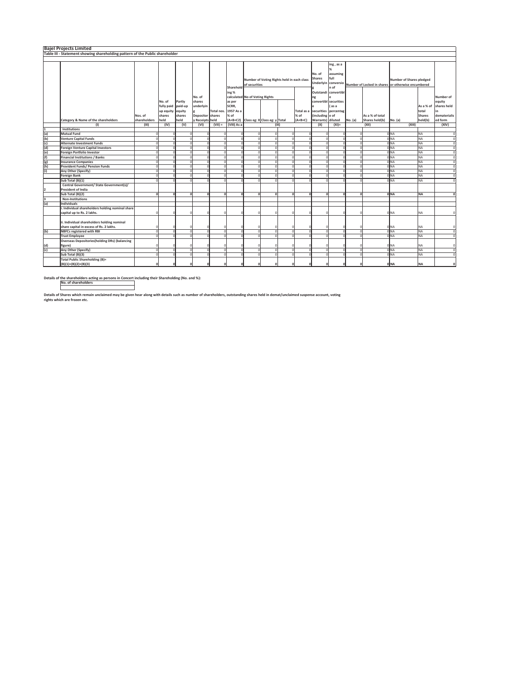| <b>Number of Shares pledged</b><br>Number of Locked in shares or otherwise encumbered<br>As a % of<br>total<br><b>Shares</b> | Number of<br>equity<br>shares held<br>in<br>dematerialis                                                                                                                   |
|------------------------------------------------------------------------------------------------------------------------------|----------------------------------------------------------------------------------------------------------------------------------------------------------------------------|
|                                                                                                                              |                                                                                                                                                                            |
|                                                                                                                              |                                                                                                                                                                            |
|                                                                                                                              |                                                                                                                                                                            |
|                                                                                                                              | ed form                                                                                                                                                                    |
|                                                                                                                              | (XIV)                                                                                                                                                                      |
|                                                                                                                              |                                                                                                                                                                            |
| 0 NA                                                                                                                         | $\circ$                                                                                                                                                                    |
| 0 NA                                                                                                                         | $\circ$                                                                                                                                                                    |
| 0 <sub>NA</sub>                                                                                                              | $\circ$                                                                                                                                                                    |
| ONA                                                                                                                          | $\circ$                                                                                                                                                                    |
| 0 NA                                                                                                                         | $\circ$                                                                                                                                                                    |
| 0 <sub>NA</sub>                                                                                                              | $\circ$                                                                                                                                                                    |
| 0 NA                                                                                                                         | $\circ$                                                                                                                                                                    |
| ONA                                                                                                                          | $\circ$                                                                                                                                                                    |
| 0 NA                                                                                                                         | $\circ$                                                                                                                                                                    |
| 0 NA                                                                                                                         | $\Omega$                                                                                                                                                                   |
|                                                                                                                              |                                                                                                                                                                            |
|                                                                                                                              |                                                                                                                                                                            |
| 0 NA<br><b>NA</b>                                                                                                            |                                                                                                                                                                            |
|                                                                                                                              |                                                                                                                                                                            |
|                                                                                                                              |                                                                                                                                                                            |
| 0 NA<br><b>NA</b>                                                                                                            |                                                                                                                                                                            |
| 0 NA<br><b>NA</b>                                                                                                            |                                                                                                                                                                            |
| 0 <sub>NA</sub><br>NA                                                                                                        | $\Omega$                                                                                                                                                                   |
| ONA<br>NA                                                                                                                    | n                                                                                                                                                                          |
| OINA<br><b>NA</b>                                                                                                            | $\Omega$                                                                                                                                                                   |
| 0 <sub>NA</sub><br><b>NA</b>                                                                                                 | $\circ$                                                                                                                                                                    |
| ONA<br><b>NA</b>                                                                                                             | $\Omega$                                                                                                                                                                   |
| 0 NA                                                                                                                         |                                                                                                                                                                            |
|                                                                                                                              | held(b)<br>No. (a)<br>(XIII)<br><b>NA</b><br><b>NA</b><br>NA<br><b>NA</b><br><b>NA</b><br><b>NA</b><br><b>NA</b><br><b>NA</b><br>NA<br>NA<br>ONA<br><b>NA</b><br><b>NA</b> |

**Details of the shareholders acting as persons in Concert including their Shareholding (No. and %): No. of shareholders**

**Details of Shares which remain unclaimed may be given hear along with details such as number of shareholders, outstanding shares held in demat/unclaimed suspense account, voting rights which are frozen etc.**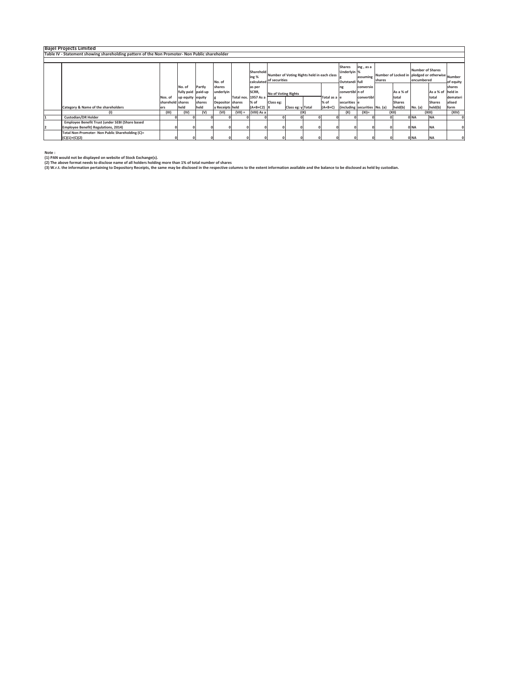| <b>Bajel Projects Limited</b>                                                                 |                  |                    |        |                  |           |                      |                          |                                            |      |               |                                         |                       |        |                                                 |                                       |                   |           |
|-----------------------------------------------------------------------------------------------|------------------|--------------------|--------|------------------|-----------|----------------------|--------------------------|--------------------------------------------|------|---------------|-----------------------------------------|-----------------------|--------|-------------------------------------------------|---------------------------------------|-------------------|-----------|
| Table IV - Statement showing shareholding pattern of the Non Promoter- Non Public shareholder |                  |                    |        |                  |           |                      |                          |                                            |      |               |                                         |                       |        |                                                 |                                       |                   |           |
|                                                                                               |                  |                    |        |                  |           |                      |                          |                                            |      |               |                                         |                       |        |                                                 |                                       |                   |           |
|                                                                                               |                  |                    |        | No. of           |           | Sharehold<br>ing %   | calculated of securities | Number of Voting Rights held in each class |      |               | Shares<br>Underlyin %<br>Outstandi full | ing, as a<br>assuming | shares | Number of Locked in pledged or otherwise Number | <b>Number of Shares</b><br>encumbered |                   | of equity |
|                                                                                               |                  | No. of             | Partly | shares           |           | as per               |                          |                                            |      |               |                                         | conversio             |        |                                                 |                                       |                   | shares    |
|                                                                                               |                  | fully paid paid-up |        | underlyin        |           | SCRR.                | No of Voting Rights      |                                            |      |               | convertibl n of                         |                       |        | As a % of                                       |                                       | As a % of held in |           |
|                                                                                               | Nos. of          | up equity equity   |        |                  |           | Total nos. 1957 As a |                          |                                            |      | Total as a le |                                         | convertibl            |        | total                                           |                                       | total             | demateri  |
|                                                                                               | sharehold shares |                    | shares | Depositor shares |           | % of                 | Class eg:                |                                            |      | $%$ of        | securities e                            |                       |        | Shares                                          |                                       | <b>Shares</b>     | alised    |
| Category & Name of the shareholders                                                           | ers              | held               | held   | y Receipts held  |           | $(A+B+C2)$ X         |                          | Class eg: y Total                          |      | $(A+B+C)$     | (including securities No. (a)           |                       |        | held(b)                                         | No. (a)                               | held(b)           | form      |
|                                                                                               | (III)            | (IV)               | (V)    | (VI)             | $(VII) =$ | (VIII) As a          |                          |                                            | (IX) |               | (X)                                     | $(XI) =$              |        | (XII)                                           | (XIII)                                |                   | (XIV)     |
| <b>Custodian/DR Holder</b>                                                                    |                  |                    |        |                  |           |                      |                          |                                            |      |               |                                         |                       |        |                                                 | ONA                                   | <b>NA</b>         |           |
| Employee Benefit Trust (under SEBI (Share based                                               |                  |                    |        |                  |           |                      |                          |                                            |      |               |                                         |                       |        |                                                 |                                       |                   |           |
| Employee Benefit) Regulations, 2014)                                                          |                  |                    |        |                  |           |                      |                          |                                            |      |               |                                         |                       |        |                                                 | 0 <sub>NA</sub>                       | <b>NA</b>         |           |
| Total Non-Promoter- Non Public Shareholding (C)=                                              |                  |                    |        |                  |           |                      |                          |                                            |      |               |                                         |                       |        |                                                 |                                       |                   |           |
| $(C)(1)+(C)(2)$                                                                               |                  |                    |        |                  |           |                      |                          |                                            |      |               |                                         |                       |        |                                                 | 0 <sub>NA</sub>                       | <b>NA</b>         |           |

**Note : (1) PAN would not be displayed on website of Stock Exchange(s).** 

(2) The above format needs to disclose name of all holders holding more than 1% of total number of shares<br>(3) W.r.t. the information pertaining to Depository Receipts, the same may be disclosed in the respective columns to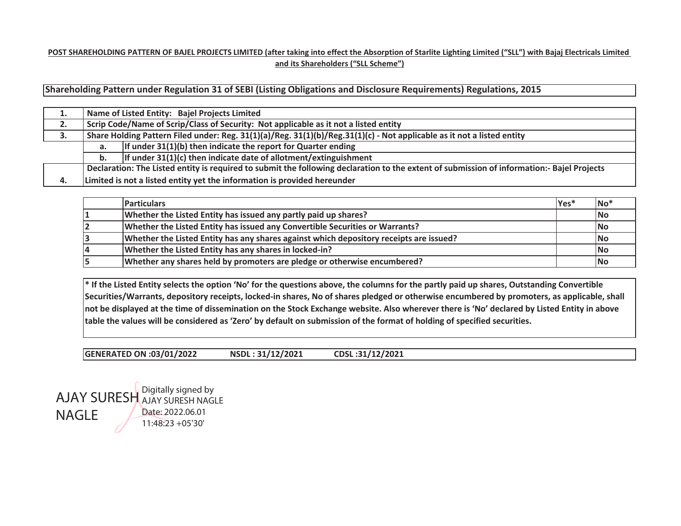## **POST SHAREHOLDING PATTERN OF BAJEL PROJECTS LIMITED (after taking into effect the Absorption of Starlite Lighting Limited ("SLL") with Bajaj Electricals Limited and its Shareholders ("SLL Scheme")**

**Shareholding Pattern under Regulation 31 of SEBI (Listing Obligations and Disclosure Requirements) Regulations, 2015**

| . . |    | Name of Listed Entity: Bajel Projects Limited                                                                                              |
|-----|----|--------------------------------------------------------------------------------------------------------------------------------------------|
| 2.  |    | Scrip Code/Name of Scrip/Class of Security: Not applicable as it not a listed entity                                                       |
| 3.  |    | Share Holding Pattern Filed under: Reg. $31(1)(a)/Reg.$ $31(1)(b)/Reg.$ $31(1)(c)$ - Not applicable as it not a listed entity              |
|     | а. | If under $31(1)(b)$ then indicate the report for Quarter ending                                                                            |
|     | b. | If under $31(1)(c)$ then indicate date of allotment/extinguishment                                                                         |
|     |    | Declaration: The Listed entity is required to submit the following declaration to the extent of submission of information:- Bajel Projects |
| 4.  |    | Limited is not a listed entity yet the information is provided hereunder                                                                   |

|    | <b>Particulars</b>                                                                     | <b>Yes</b> <sup>*</sup> | No        |
|----|----------------------------------------------------------------------------------------|-------------------------|-----------|
|    | Whether the Listed Entity has issued any partly paid up shares?                        |                         | No        |
|    | Whether the Listed Entity has issued any Convertible Securities or Warrants?           |                         | <b>No</b> |
| 13 | Whether the Listed Entity has any shares against which depository receipts are issued? |                         | No        |
| 14 | Whether the Listed Entity has any shares in locked-in?                                 |                         | No        |
|    | Whether any shares held by promoters are pledge or otherwise encumbered?               |                         | No        |

**\* If the Listed Entity selects the option 'No' for the questions above, the columns for the partly paid up shares, Outstanding Convertible Securities/Warrants, depository receipts, locked-in shares, No of shares pledged or otherwise encumbered by promoters, as applicable, shall not be displayed at the time of dissemination on the Stock Exchange website. Also wherever there is 'No' declared by Listed Entity in above table the values will be considered as 'Zero' by default on submission of the format of holding of specified securities.**

**GENERATED ON :03/01/2022 NSDL : 31/12/2021 CDSL :31/12/2021** 

AJAY SURESH NAGLEDigitally signed by AJAY SURESH NAGLE Date: 2022.06.01 11:48:23 +05'30'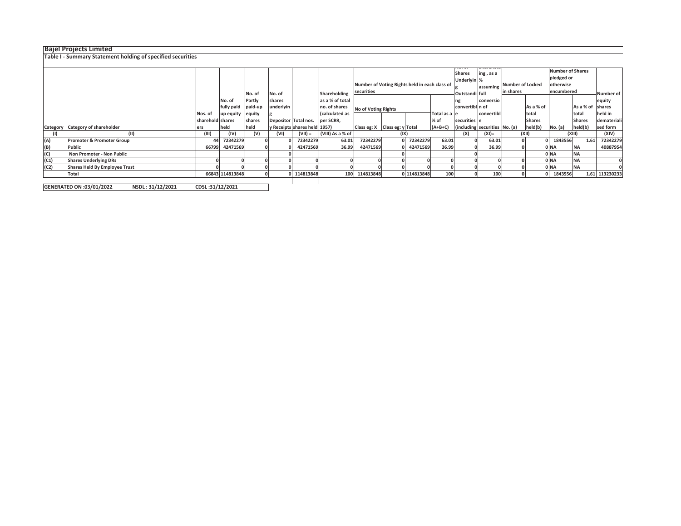## **Bajel Projects Limited**

**Table I - Summary Statement holding of specified securities**

|      |                                      |                  |                  | No. of  | No. of    |                              | Shareholding     | Number of Voting Rights held in each class of<br>securities |      |             |               | <b>Shares</b><br>Underlyin %<br>Outstandi full | ing, as a<br>assuming Number of Locked | in shares |               | <b>Number of Shares</b><br>pledged or<br>otherwise<br>encumbered |                  | Number of      |
|------|--------------------------------------|------------------|------------------|---------|-----------|------------------------------|------------------|-------------------------------------------------------------|------|-------------|---------------|------------------------------------------------|----------------------------------------|-----------|---------------|------------------------------------------------------------------|------------------|----------------|
|      |                                      |                  | No. of           | Partly  | shares    |                              | as a % of total  |                                                             |      |             |               |                                                | conversio                              |           |               |                                                                  |                  |                |
|      |                                      |                  |                  |         |           |                              |                  |                                                             |      |             |               |                                                |                                        |           |               |                                                                  |                  | equity         |
|      |                                      |                  | fully paid       | paid-up | underlyin |                              | no. of shares    | <b>No of Voting Rights</b>                                  |      |             |               | convertibl n of                                |                                        |           | As a % of     |                                                                  | As a % of shares |                |
|      |                                      | Nos. of          | up equity equity |         |           |                              | (calculated as   |                                                             |      |             | Total as a le |                                                | convertibl                             |           | total         |                                                                  | total            | held in        |
|      |                                      | sharehold shares |                  | shares  |           | Depositor Total nos.         | per SCRR,        |                                                             |      |             | % of          | securities e                                   |                                        |           | <b>Shares</b> |                                                                  | <b>Shares</b>    | demateriali    |
|      | Category Category of shareholder     | ers              | held             | held    |           | y Receipts shares held 1957) |                  | Class eg: $X$   Class eg: $y$   Total                       |      |             | $(A+B+C)$     |                                                | (including securities No. (a)          |           | held(b)       | No. (a)                                                          | held(b)          | sed form       |
| (1)  | (11)                                 | (III)            | (IV)             | (V)     | (VI)      | $(VII) =$                    | (VIII) As a % of |                                                             | (IX) |             |               | (X)                                            | (XI)=                                  |           | (X  )         |                                                                  | (XIII)           | (XIV)          |
| (A)  | Promoter & Promoter Group            | 44               | 72342279         |         |           | 72342279                     | 63.01            | 72342279                                                    |      | 72342279    | 63.01         |                                                | 63.01                                  |           |               | 1843556                                                          | 1.61             | 72342279       |
| (B)  | Public                               | 66799            | 42471569         |         |           | 42471569                     | 36.99            | 42471569                                                    |      | 42471569    | 36.99         |                                                | 36.99                                  |           |               | 0 NA                                                             | <b>NA</b>        | 40887954       |
| (C)  | Non Promoter - Non Public            |                  |                  |         |           |                              |                  |                                                             |      |             |               |                                                |                                        |           |               | 0 NA                                                             | <b>NA</b>        |                |
| (C1) | <b>Shares Underlying DRs</b>         |                  |                  |         |           |                              |                  |                                                             |      |             |               |                                                |                                        |           |               | 0 NA                                                             | <b>NA</b>        |                |
| (C2) | <b>Shares Held By Employee Trust</b> |                  |                  |         |           |                              |                  |                                                             |      |             |               |                                                |                                        |           |               | 0 NA                                                             | <b>NA</b>        |                |
|      | Total                                |                  | 66843 114813848  |         |           | 0 114813848                  |                  | 100 114813848                                               |      | 0 114813848 | 100           |                                                | 100                                    |           |               | 1843556                                                          |                  | 1.61 113230233 |
|      | $\cdots$                             |                  |                  |         |           |                              |                  |                                                             |      |             |               |                                                |                                        |           |               |                                                                  |                  |                |

**GENERATED ON :03/01/2022 NSDL : 31/12/2021 CDSL :31/12/2021**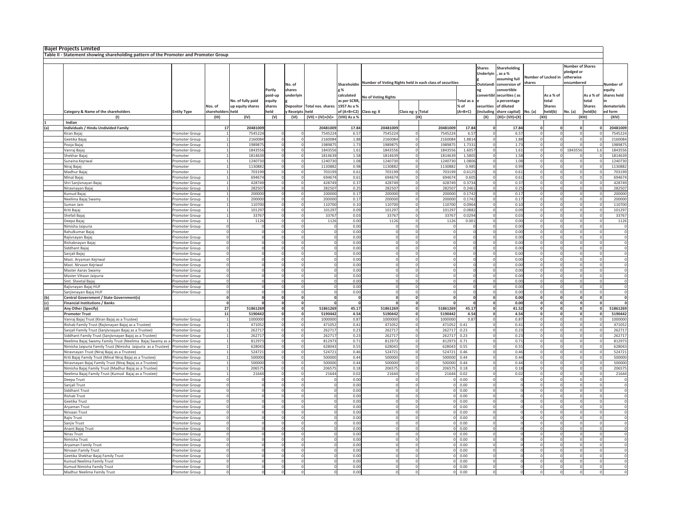|     | <b>Bajel Projects Limited</b>                                                                            |                                  |                      |                   |                |                    |                                   |                         |                     |                          |                                                                      |                                    |               |                           |                         |                         |                           |                            |                              |
|-----|----------------------------------------------------------------------------------------------------------|----------------------------------|----------------------|-------------------|----------------|--------------------|-----------------------------------|-------------------------|---------------------|--------------------------|----------------------------------------------------------------------|------------------------------------|---------------|---------------------------|-------------------------|-------------------------|---------------------------|----------------------------|------------------------------|
|     | Table II - Statement showing shareholding pattern of the Promoter and Promoter Group                     |                                  |                      |                   |                |                    |                                   |                         |                     |                          |                                                                      |                                    |               |                           |                         |                         |                           |                            |                              |
|     |                                                                                                          |                                  |                      |                   |                |                    |                                   |                         |                     |                          |                                                                      |                                    |               |                           |                         |                         |                           |                            |                              |
|     |                                                                                                          |                                  |                      |                   |                |                    |                                   |                         |                     |                          |                                                                      |                                    | <b>Shares</b> | Shareholding              |                         |                         | <b>Number of Shares</b>   |                            |                              |
|     |                                                                                                          |                                  |                      |                   |                |                    |                                   |                         |                     |                          |                                                                      |                                    | Underlyin     | as a %                    |                         |                         | pledged or                |                            |                              |
|     |                                                                                                          |                                  |                      |                   |                |                    |                                   |                         |                     |                          |                                                                      |                                    |               | assuming full             |                         | Number of Locked in     | otherwise                 |                            |                              |
|     |                                                                                                          |                                  |                      |                   |                | No. of             |                                   |                         |                     |                          | Shareholdin Number of Voting Rights held in each class of securities |                                    | Outstandi     | conversion of             | shares                  |                         | encumbered                |                            | <b>Number</b> of             |
|     |                                                                                                          |                                  |                      |                   | Partly         | shares             |                                   | σ%                      |                     |                          |                                                                      |                                    |               | convertible               |                         |                         |                           |                            | eauitv                       |
|     |                                                                                                          |                                  |                      |                   | paid-up        | underlyin          |                                   | calculated              | No of Voting Rights |                          |                                                                      |                                    | convertibl    | securities (as            |                         | As a % of               |                           | As a % of                  | shares held                  |
|     |                                                                                                          |                                  |                      | No. of fully paid | equity         |                    |                                   | as per SCRR             |                     |                          |                                                                      | Total as a                         |               | a percentage              |                         | total                   |                           | total                      |                              |
|     |                                                                                                          |                                  | Nos. of              | up equity shares  | shares         |                    | Depositor Total nos. shares       | 1957 As a %             |                     |                          |                                                                      | % of                               | securities    | of diluted                |                         | <b>Shares</b>           |                           | <b>Shares</b>              | dematerialis                 |
|     | Category & Name of the shareholders                                                                      | <b>Entity Type</b>               | shareholders held    |                   | held           | y Receipts held    |                                   | of (A+B+C2) Class eg: X |                     | Class eg: y Total        |                                                                      | $(A+B+C)$                          |               | (including share capital) | No. (a)                 | held(b)                 | No. (a)                   | held(b)                    | ed form                      |
|     | (1)<br>Indian                                                                                            |                                  | (III)                | (IV)              | (V)            | (VI)               | $(VII) = (IV)+(V)+ (VIII)$ As a % |                         |                     |                          | (IX)                                                                 |                                    | (X)           | $(XI) = (VII)+(X)$        |                         | (XII)                   |                           | (XIII)                     | (XIV)                        |
| (a) | ndividuals / Hindu Undivided Family                                                                      |                                  | 17                   | 20481009          |                |                    | 20481009                          | 17.84                   | 20481009            |                          | 20481009                                                             | 17.84                              |               | 17.84                     | $\mathbf{o}$            | $\mathbf{0}$            | $\mathbf{0}$              | $\mathbf 0$                | 20481009                     |
|     | Kiran Bajaj                                                                                              | romoter Group                    |                      | 7545224           |                | $\mathbf 0$        | 7545224                           | 6.57                    | 7545224             |                          | 7545224                                                              | 6.57                               |               | 6.57                      |                         |                         | $\Omega$                  |                            | 7545224                      |
|     | Geetika Baja                                                                                             | Promoter Group                   |                      | 2160084           | $\overline{0}$ |                    | 2160084                           | 1.88                    | 2160084             | $\mathbf 0$              | 2160084                                                              | 1.8814                             |               | 1.88                      | $\mathbf 0$             | $\Omega$                | $\Omega$                  | $\Omega$                   | 2160084                      |
|     | Pooja Bajaj                                                                                              | Promoter Group                   | $\overline{1}$       | 198987            |                | $\circ$            | 1989875                           | 1.73                    | 1989875             | $\circ$                  | 1989875                                                              | 1.7331                             |               | 1.73                      | $\circ$                 | $\Omega$                | $\Omega$                  | $\Omega$                   | 1989875                      |
|     | Vanraj Baja                                                                                              | Promoter Group                   |                      | 1843556           |                | $\circ$            | 1843556                           | 1.61                    | 1843556             | $\Omega$                 | 1843556                                                              | 1.6057                             |               | 1.61                      | $\Omega$                |                         | $\overline{0}$<br>1843556 | 1.6                        | 1843556                      |
|     | Shekhar Baja                                                                                             | Promoter                         |                      | 1814639           |                | $\mathbf 0$        | 1814639                           | 1.58                    | 1814639             | $\circ$                  | 1814639                                                              | 1.5805                             |               | 1.58                      | $\Omega$                | $\Omega$                |                           | $\Omega$                   | 1814639                      |
|     | Sunaina Keiriwa                                                                                          | Promoter Group                   |                      | 124073            | $\overline{0}$ |                    | 1240730                           | 1.08                    | 1240730             | $\mathbf{0}$             | 1240730                                                              | 1.0806                             |               | 1.08                      | $\circ$                 |                         | $\Omega$                  | $\mathbf{0}$               | 1240730                      |
|     | Niraj Bajaj                                                                                              | Promoter                         |                      | 1130882           |                | $\circ$            | 1130882                           | 0.98                    | 1130882             | $\circ$                  | 1130882                                                              | 0.985                              |               | 0.99                      | $\circ$                 | $\Omega$                | $\mathbf{0}$              | $\circ$                    | 1130882                      |
|     | Madhur Baja                                                                                              | Promoter                         |                      | 703199            |                | $\circ$            | 703199                            | 0.61                    | 703199              | $\circ$                  | 703199                                                               | 0.6125                             |               | 0.61                      | $\mathbf 0$             | $\Omega$                | $\mathbf{0}$              | $\Omega$                   | 703199                       |
|     | Minal Bajaj                                                                                              | Promoter Group                   |                      | 694674            |                | $\circ$            | 694674                            | 0.61                    | 694674              | $^{\circ}$               | 694674                                                               | 0.605                              |               | 0.61                      | $^{\circ}$              | $\Omega$                | $\mathbf{0}$              | $\Omega$                   | 694674                       |
|     | Shri Sanjivnayan Bajaj                                                                                   | romoter Group                    |                      | 428749            |                | $\circ$            | 428749                            | 0.37                    | 428749              | 0                        | 428749                                                               | 0.3734                             |               | 0.37                      | $\mathbf 0$             | $\Omega$                | $\mathbf{0}$              | $\mathbf{0}$               | 428749                       |
|     | Niravnayan Bajaj                                                                                         | Promoter Group<br>Promoter Group |                      | 282507            |                | $\circ$            | 282507                            | 0.25                    | 282507              | $\circ$<br>$\Omega$      | 282507                                                               | 0.2461                             |               | 0.25                      | $\mathbf 0$<br>$\Omega$ | $\Omega$                | 0<br>$\Omega$             | $\overline{0}$<br>$\Omega$ | 282507                       |
|     | Kumud Bajaj<br>Neelima Bajaj Swamy                                                                       | romoter Group                    |                      | 200000<br>200000  | $\overline{0}$ | $\circ$            | 200000<br>200000                  | 0.17<br>0.17            | 200000<br>200000    | $\mathbf 0$              | 200000<br>200000                                                     | 0.1742<br>0.1742                   |               | 0.17<br>0.17              | $\Omega$                | $\Omega$                | $\Omega$                  | $\Omega$                   | 200000<br>200000             |
|     | Suman Jain                                                                                               |                                  |                      | 110700            |                | $\circ$            | 110700                            | 0.10                    | 110700              | $\circ$                  | 110700                                                               | 0.0964                             |               | 0.10                      | $\Omega$                | $\Omega$                | $\Omega$                  | $\Omega$                   | 110700                       |
|     | Kriti Baia                                                                                               | Promoter Group<br>Promoter Group |                      | 101297            | $\overline{0}$ |                    | 101297                            | 0.09                    | 101297              | $\circ$                  | 101297                                                               | 0.0882                             |               | 0.09                      | $\Omega$                | $\Omega$                | $\Omega$                  | $\Omega$                   | 101297                       |
|     | Shefali Baja                                                                                             | Promoter Group                   |                      | 33767             |                |                    | 33767                             | 0.03                    | 33767               | $\Omega$                 | 33767                                                                | 0.0294                             |               | 0.03                      | $\Omega$                | $\Omega$                | $\Omega$                  | $\Omega$                   | 33767                        |
|     | Deepa Bajaj                                                                                              | Promoter Group                   |                      | 1126              | $\overline{0}$ |                    | 1126                              | 0.00                    | 1126                | $\mathbf{0}$             | 1126                                                                 | 0.001                              |               | 0.00                      | $\mathbf 0$             | $\circ$                 | $\mathbf{0}$              | $\circ$                    | 1126                         |
|     | Nimisha Jaipuria                                                                                         | Promoter Group                   |                      |                   | $\overline{0}$ |                    | $\circ$                           | 0.00                    |                     | $\circ$                  | $^{\circ}$                                                           | $\circ$                            |               | 0.00                      | $\circ$                 | $\overline{0}$          | $\mathbf{0}$              | $\circ$                    | $\overline{c}$               |
|     | Rahulkumar Baja                                                                                          | Promoter                         | - C                  |                   | $\overline{0}$ |                    | $^{\circ}$                        | 0.00                    |                     | 0                        | $\overline{0}$                                                       | $\circ$                            |               | 0.00                      | 0                       | $\circ$                 | $\mathbf{0}$              | $\circ$                    | $\,$ C                       |
|     | Raiivnavan Baia                                                                                          | Promoter Group                   | $\Omega$             | $\Omega$          | $\Omega$       |                    | $\Omega$                          | 0.00                    |                     | $\Omega$                 | $\Omega$                                                             | $\Omega$                           |               | 0.00                      | $\Omega$                | $\Omega$                | $\Omega$                  | $\Omega$                   | $\mathfrak{c}$               |
|     | Rishabnavan Baia                                                                                         | Promoter Group                   |                      |                   | $\Omega$       |                    | $\circ$                           | 0.00                    |                     | $\Omega$                 | $\mathbf 0$                                                          | $\Omega$                           |               | 0.00                      | $\Omega$                |                         | 0                         | $\Omega$                   | $\mathfrak{c}$               |
|     | Siddhant Bajaj                                                                                           | Promoter Group                   |                      |                   | $\overline{0}$ |                    | $\mathbf 0$                       | 0.00                    |                     | $\Omega$                 | $\theta$                                                             | $\mathbf 0$                        |               | 0.00                      | $\Omega$                |                         |                           |                            | $\mathfrak{c}$               |
|     | Sanjali Bajaj                                                                                            | Promoter Group                   | $\Omega$             |                   |                | $\overline{0}$     | $\circ$                           | 0.00                    |                     | $\circ$                  | $\mathbf{0}$                                                         | $\circ$                            |               | 0.00                      | $\circ$                 | $\circ$                 | $\circ$                   | $\circ$                    | $\,$ C                       |
|     | Mast. Aryaman Kejriwal                                                                                   | Promoter Group                   | $\Omega$             |                   | $\Omega$       |                    | <sub>0</sub>                      | 0.00                    |                     | $\Omega$                 | $\Omega$                                                             | $\Omega$                           |               | 0.00                      | $\Omega$                | $\Omega$                | $\Omega$                  | $\Omega$                   | $\mathfrak{c}$               |
|     | Mast, Nirvaan Keiriwal                                                                                   | Promoter Group                   | $\Omega$             |                   |                | $\Omega$           | $\Omega$                          | 0.00                    |                     | $\Omega$                 | $\Omega$                                                             | $\Omega$                           |               | 0.00                      | $\Omega$                | $\Omega$                | $\Omega$                  | $\Omega$                   | $\mathbf C$                  |
|     | Master Aarav Swamv<br>Master Vihaan Jaipuria                                                             | Promoter Group<br>Promoter Group |                      |                   |                | $\Omega$           | $\mathbf 0$<br>$\circ$            | 0.00<br>0.00            |                     | $\Omega$<br>$\mathbf{0}$ | $\Omega$<br>$\Omega$                                                 | $\Omega$                           |               | 0.00<br>0.00              | $\Omega$<br>$\mathbf 0$ | $\Omega$<br>$\Omega$    | $\Omega$<br>$\Omega$      | $\Omega$<br>$\Omega$       | $\mathbf C$                  |
|     | Smt. Sheetal Bajaj                                                                                       | Promoter Group                   | $\Omega$             |                   | $\Omega$       |                    | $\circ$                           | 0.00                    |                     | $\circ$                  | $\Omega$                                                             | $\Omega$                           |               | 0.00                      | $\mathbf 0$             | $\Omega$                | $\Omega$                  | $\Omega$                   | $\mathfrak{c}$               |
|     | Rajivnayan Bajaj HUF                                                                                     | Promoter Group                   | $^{\circ}$           |                   | $^{\circ}$     |                    | $\circ$                           | 0.00                    |                     | $\circ$                  | $\mathbf{0}$                                                         | $\Omega$                           |               | 0.00                      | 0                       | $\Omega$                | $\mathbf{0}$              | $\circ$                    | $\mathfrak{c}$               |
|     | Saniivnavan Baiai HUF                                                                                    | Promoter Group                   | $\circ$              |                   | $\overline{0}$ |                    | 0                                 | 0.00                    |                     | $^{\circ}$               | $\theta$                                                             | $\Omega$                           |               | 0.00                      | 0                       | 0                       | $\overline{0}$            | $\circ$                    | $\overline{\mathfrak{c}}$    |
| (b) | Central Government / State Government(s)                                                                 |                                  | $\Omega$             |                   | $\mathbf 0$    |                    | $\Omega$                          | $\Omega$                |                     | $\mathbf 0$              | $\Omega$                                                             | $\Omega$                           |               | 0.00                      | $\mathbf 0$             | $\Omega$                | $\mathbf{0}$              | $\mathbf{0}$               | $\overline{c}$               |
| (c) | <b>Financial Institutions / Banks</b>                                                                    |                                  |                      |                   | $\mathbf{0}$   |                    |                                   | $\Omega$                |                     | $\Omega$                 | $\mathbf{0}$                                                         |                                    |               | 0.00                      | $\mathbf 0$             |                         | 0                         | $\mathbf{0}$               | $\mathfrak{c}$               |
| (d) | Any Other (Specify)                                                                                      |                                  | 27                   | 51861269          | $\mathbf 0$    |                    | 51861269                          | 45.17                   | 51861269            | $\Omega$                 | 51861269                                                             | 45.17                              |               | 41.52                     | $\mathbf 0$             | $\Omega$                | $\mathbf{0}$              | $\mathbf{0}$               | 51861269                     |
|     | <b>Promoter Trust</b>                                                                                    |                                  | 11                   | 5190442           |                | $\mathbf{0}$       | 5190442                           | 4.54                    | 5190442             | $\mathbf 0$              | 5190442                                                              | 4.54                               |               | 4.54                      | $\mathbf{0}$            | nl                      | $\Omega$                  | nl                         | 5190442                      |
|     | Vanraj Bajaj Trust (Kiran Bajaj as a Trustee)                                                            | Promoter Group                   |                      | 1000000           |                | $\circ$            | 1000000                           | 0.87                    | 1000000             | $\Omega$                 | 1000000                                                              | 0.87                               |               | 0.87                      | $\Omega$                | $\Omega$                | $\Omega$                  | $\Omega$                   | 1000000                      |
|     | Rishab Family Trust (Raiiynayan Baiai as a Trustee)                                                      | Promoter Group                   |                      | 471052            | $\overline{0}$ |                    | 471052                            | 0.41                    | 471052              | $\circ$                  | 471052                                                               | 0.41                               |               | 0.41                      | $\Omega$                | $\Omega$                | $\Omega$                  | $\Omega$                   | 471052                       |
|     | Sanjali Family Trust (Sanjivnayan Bajaj as a Trustee)                                                    | Promoter Group                   |                      | 262717            | $\overline{0}$ |                    | 262717                            | 0.23                    | 262717              | $\mathbf{0}$             | 262717                                                               | 0.23                               |               | 0.23                      | $\overline{0}$          | $\circ$                 | $\mathbf{0}$              | $\mathbf{0}$               | 262717                       |
|     | Siddhant Family Trust (Sanjivnayan Bajaj as a Trustee)                                                   | Promoter Group                   |                      | 262717            |                | $\circ$            | 262717                            | 0.23                    | 262717              | $\circ$                  | 262717 0.23                                                          |                                    |               | 0.23                      | 0                       | $\circ$                 | $\circ$                   | $\mathbf{0}$               | 262717                       |
|     | Neelima Bajaj Swamy Family Trust (Neelima Bajaj Swamy as a                                               | Promoter Group                   |                      | 812973            |                | $\circ$            | 812973                            | 0.71                    | 812973              | $\circ$                  | 812973 0.71                                                          |                                    |               | 0.71                      | $\mathbf 0$             | $\overline{0}$          | $\circ$                   | $\Omega$                   | 812973                       |
|     | Nimisha Jaipuria Family Trust (Nimisha Jaipuria as a Trustee) Promoter Group                             |                                  |                      | 628043<br>524721  |                | $\circ$<br>$\circ$ | 628043<br>524721                  | 0.55<br>0.46            | 628043<br>524721    | $\circ$                  | 628043 0.55<br>524721 0.46                                           |                                    |               | 0.55<br>0.46              | $\circ$                 | $\Omega$<br>$\Omega$    | $\circ$<br>$\mathbf{0}$   | $\circ$<br>$\mathbf{0}$    | 628043<br>524721             |
|     | Niravnayan Trust (Niraj Bajaj as a Trustee)<br>Kriti Bajaj Family Trust (Minal Niraj Bajaj as a Trustee) | Promoter Group<br>Promoter Group |                      | 500000            | $\mathbf 0$    |                    | 500000                            | 0.44                    | 500000              | $^{\circ}$               | 500000                                                               | 0.44                               |               | 0.44                      | $^{\circ}$              |                         |                           |                            | 500000                       |
|     | Niravnayan Bajaj Family Trust (Niraj Bajaj as a Trustee)                                                 | Promoter Group                   |                      | 500000            | $\overline{0}$ |                    | 500000                            | 0.44                    | 500000              | $\circ$                  | 500000                                                               | 0.44                               |               | 0.44                      | $\Omega$                | $\Omega$                | $\Omega$                  | $\Omega$                   | 500000                       |
|     | Nimisha Bajaj Family Trust (Madhur Bajaj as a Trustee)                                                   | Promoter Group                   |                      | 206575            | $\circ$        |                    | 206575                            | 0.18                    | 206575              | $\Omega$                 | 206575 0.18                                                          |                                    |               | 0.18                      | $\Omega$                | $\Omega$                | $\Omega$                  | $\Omega$                   | 206575                       |
|     | Neelima Bajaj Family Trust (Kumud Bajaj as a Trustee)                                                    | Promoter Group                   |                      | 21644             | $\overline{0}$ |                    | 21644                             | 0.02                    | 21644               | $\circ$                  | 21644 0.02                                                           |                                    |               | 0.02                      | $\Omega$                | $\Omega$                | $\Omega$                  | $\Omega$                   | 21644                        |
|     | Deepa Trust                                                                                              | Promoter Group                   |                      |                   | $\Omega$       |                    | $\Omega$                          | 0.00                    |                     | $\circ$                  |                                                                      | 0 0.00                             |               |                           | $\circ$                 | $\Omega$                | $\Omega$                  | $\Omega$                   |                              |
|     | Saniali Trust                                                                                            | Promoter Group                   |                      |                   |                |                    | $\Omega$                          | 0.00                    |                     | $\Omega$                 |                                                                      | 0 0.00                             |               |                           | $\Omega$                |                         | $\Omega$                  | $\Omega$                   |                              |
|     | Siddhant Trust                                                                                           | Promoter Group                   | $\circ$              |                   |                |                    | $\circ$                           | 0.00                    |                     | $\mathbf{0}$             |                                                                      | 0 0.00                             |               |                           | $\mathbf 0$             | $\theta$                | $\mathbf{0}$              | $\mathbf{0}$               | $\,$ C                       |
|     | Rishab Trust                                                                                             | Promoter Group                   | $\Omega$             |                   | $\overline{0}$ |                    | $\circ$                           | 0.00                    |                     | $\circ$                  |                                                                      | $0\quad 0.00$                      |               |                           | $\circ$                 | $\circ$                 | $\mathbf{0}$              | $\circ$                    | $\overline{c}$               |
|     | Geetika Trust                                                                                            | Promoter Group                   | $\Omega$             |                   | $\Omega$       |                    | 0                                 | 0.00                    |                     | $\circ$                  |                                                                      | $0\quad 0.00$                      |               |                           | 0                       | $\Omega$                | $\Omega$                  | $\Omega$                   | $\,$ C                       |
|     | Arvaman Trust                                                                                            | Promoter Group                   | $\Omega$             |                   | $\Omega$       |                    | $\Omega$                          | 0.00                    |                     | $\Omega$                 |                                                                      | 0 0.00                             |               |                           | $\Omega$                | $\Omega$                | $\Omega$                  | $\Omega$                   | $\mathfrak{c}$               |
|     | <b>Nirvaan Trust</b>                                                                                     | romoter Group                    |                      |                   | $\overline{0}$ |                    |                                   | 0.00                    |                     | $\circ$                  | $\circ$                                                              | 0.00                               |               |                           | $\circ$                 |                         | 0                         | $\mathbf 0$                | $\,$ C                       |
|     | Rajiv Trust                                                                                              | Promoter Group                   | $\Omega$<br>$\Omega$ |                   | $\overline{0}$ |                    | $\circ$<br>$\Omega$               | 0.00                    |                     | $\mathbf 0$              |                                                                      | $0\quad 0.00$                      |               |                           | $\Omega$<br>$\Omega$    | $\mathbf 0$<br>$\Omega$ | $\Omega$<br>$\Omega$      | $\Omega$<br>$\Omega$       | $\mathsf{C}$                 |
|     | Sanjiv Trust<br><b>Anant Bajai Trust</b>                                                                 | Promoter Group                   | $\overline{0}$       | $\Omega$          | $\overline{0}$ | $\Omega$           | <sub>0</sub>                      | 0.00<br>0.00            | $\Omega$            | $\Omega$<br>$\Omega$     |                                                                      | $0\quad 0.00$<br>0 <sub>0.00</sub> |               |                           | $\Omega$                | $\Omega$                | $\Omega$                  | $\Omega$                   | $\mathbf{C}$<br>$\mathbf{C}$ |
|     | Nirav Trust                                                                                              | Promoter Group<br>Promoter Group | $\Omega$             |                   |                | $\mathbf 0$        | $\mathbf 0$                       | 0.00                    |                     | $\circ$                  |                                                                      | 0 0.00                             |               |                           | $\Omega$                | $\Omega$                | $\Omega$                  | $\Omega$                   | $\mathbf C$                  |
|     | Nimisha Trust                                                                                            | Promoter Group                   |                      |                   |                | $\mathbf 0$        | $\mathbf 0$                       | 0.00                    |                     | $\mathbf{0}$             |                                                                      | 0 0.00                             |               |                           | $\mathbf 0$             | $\overline{0}$          | $\mathbf{0}$              | $\mathbf{0}$               |                              |
|     | Arvaman Family Trust                                                                                     | Promoter Group                   |                      |                   | $\Omega$       |                    | $\circ$                           | 0.00                    |                     | $\circ$                  |                                                                      | $0\quad 0.00$                      |               |                           | $\mathbf 0$             | $\Omega$                | $\Omega$                  | $\Omega$                   |                              |
|     | Nirvaan Family Trust                                                                                     | Promoter Group                   | $\Omega$             |                   | $\overline{0}$ |                    | $\circ$                           | 0.00                    |                     | $\circ$                  |                                                                      | $0\quad 0.00$                      |               |                           | $^{\circ}$              | $\circ$                 | $\mathbf{0}$              | $\mathbf{0}$               | $\,$ C                       |
|     | Geetika Shekhar Bajaj Family Trust                                                                       | Promoter Group                   | $\Omega$             |                   | $\overline{0}$ |                    | $\mathbf{0}$                      | 0.00                    |                     | $\circ$                  |                                                                      | $0\quad 0.00$                      |               |                           | $\circ$                 | $\overline{0}$          | $\mathbf{0}$              | $\circ$                    | $\overline{\mathfrak{c}}$    |
|     | Kumud Neelima Family Trust                                                                               | Promoter Group                   | $^{\circ}$           |                   | $\overline{0}$ |                    | 0                                 | 0.00                    |                     | $^{\circ}$               |                                                                      | $0 - 0.00$                         |               |                           | $^{\circ}$              | $\overline{0}$          | $\overline{0}$            | $\circ$                    | $\overline{\mathfrak{c}}$    |
|     | <b>Kumud Nimisha Family Trust</b>                                                                        | Promoter Group                   |                      |                   |                | $\theta$           | $\Omega$                          | 0.00                    |                     | $\Omega$                 | $\circ$                                                              | 0.00                               |               |                           | $\mathbf 0$             |                         | $\Omega$                  | $\Omega$                   | $\mathfrak{c}$               |
|     | Madhur Neelima Family Trust                                                                              | Promoter Group                   |                      | $\circ$           | $\overline{0}$ |                    |                                   | 0.00                    |                     | $\mathbf{0}$             |                                                                      | 0 0.00                             |               |                           | $\mathbf 0$             |                         | $\mathbf{0}$              | $\mathbf{0}$               |                              |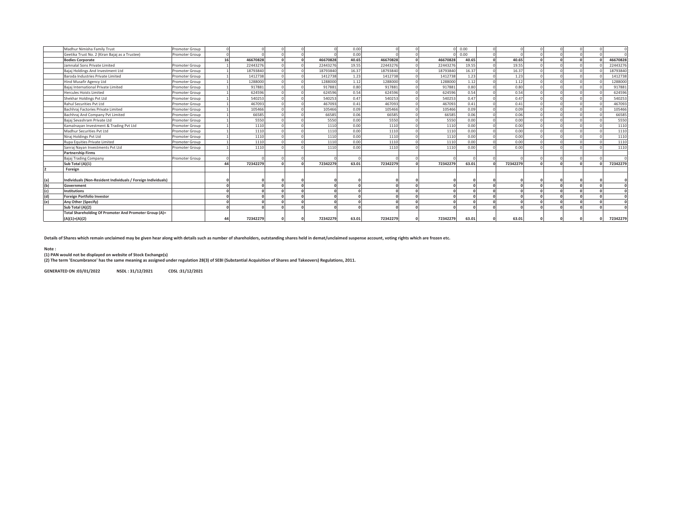|     | Madhur Nimisha Family Trust                                  | Promoter Group |    |          |  |          | 0.00  |          |          | 0.00  |          |  |  |          |
|-----|--------------------------------------------------------------|----------------|----|----------|--|----------|-------|----------|----------|-------|----------|--|--|----------|
|     | Geetika Trust No. 2 (Kiran Bajaj as a Trustee)               | Promoter Group |    |          |  |          | 0.00  |          |          | 0.00  |          |  |  |          |
|     | <b>Bodies Corporate</b>                                      |                | 16 | 46670828 |  | 46670828 | 40.65 | 46670828 | 46670828 | 40.65 | 40.65    |  |  | 46670828 |
|     | Jamnalal Sons Private Limited                                | Promoter Group |    | 22443276 |  | 22443276 | 19.55 | 22443276 | 22443276 | 19.55 | 19.55    |  |  | 22443276 |
|     | Bajaj Holdings And Investment Ltd                            | Promoter Group |    | 18793840 |  | 18793840 | 16.37 | 18793840 | 18793840 | 16.37 | 16.37    |  |  | 18793840 |
|     | Baroda Industries Private Limited                            | Promoter Group |    | 1412738  |  | 1412738  | 1.23  | 1412738  | 1412738  | 1.23  | 1.23     |  |  | 1412738  |
|     | Hind Musafir Agency Ltd                                      | Promoter Group |    | 1288000  |  | 1288000  | 1.12  | 1288000  | 1288000  | 1.12  | 1.12     |  |  | 1288000  |
|     | Bajaj International Private Limited                          | Promoter Group |    | 917881   |  | 917881   | 0.80  | 917881   | 917881   | 0.80  | 0.80     |  |  | 917881   |
|     | <b>Hercules Hoists Limited</b>                               | Promoter Group |    | 624596   |  | 624596   | 0.54  | 624596   | 624596   | 0.54  | 0.54     |  |  | 624596   |
|     | Shekhar Holdings Pvt Ltd                                     | Promoter Group |    | 540253   |  | 540253   | 0.47  | 540253   | 540253   | 0.47  | 0.47     |  |  | 540253   |
|     | Rahul Securities Pvt Ltd                                     | Promoter Group |    | 467093   |  | 467093   | 0.41  | 467093   | 467093   | 0.41  | 0.41     |  |  | 467093   |
|     | Bachhraj Factories Private Limited                           | Promoter Group |    | 105466   |  | 105466   | 0.09  | 105466   | 105466   | 0.09  | 0.09     |  |  | 105466   |
|     | Bachhrai And Company Pyt Limited                             | Promoter Group |    | 66585    |  | 66585    | 0.06  | 66585    | 66585    | 0.06  | 0.06     |  |  | 66585    |
|     | Bajaj Sevashram Private Ltd                                  | Promoter Group |    | 5550     |  | 5550     | 0.00  | 5550     | 5550     | 0.00  | 0.00     |  |  | 5550     |
|     | Kamalnavan Investment & Trading Pvt Ltd                      | Promoter Group |    | 1110     |  | 1110     | 0.00  | 1110     | 1110     | 0.00  | 0.00     |  |  | 1110     |
|     | Madhur Securities Pvt Ltd                                    | Promoter Group |    | 1110     |  | 1110     | 0.00  | 1110     | 1110     | 0.00  | 0.00     |  |  | 1110     |
|     | Niraj Holdings Pvt Ltd                                       | Promoter Group |    | 1110     |  | 1110     | 0.00  | 1110     | 1110     | 0.00  | 0.00     |  |  | 1110     |
|     | Rupa Equities Private Limited                                | Promoter Group |    | 1110     |  | 1110     | 0.00  | 1110     | 1110     | 0.00  | 0.00     |  |  | 1110     |
|     | Sanraj Nayan Investments Pvt Ltd                             | Promoter Group |    | 1110     |  | 1110     | 0.00  | 1110     | 1110     | 0.00  | 0.00     |  |  | 1110     |
|     | <b>Partnership Firms</b>                                     |                |    |          |  |          |       |          |          |       |          |  |  |          |
|     | Bajaj Trading Company                                        | Promoter Group |    |          |  |          |       |          |          |       |          |  |  |          |
|     | Sub Total (A)(1)                                             |                | ΔΔ | 72342279 |  | 72342279 | 63.01 | 72342279 | 72342279 | 63.01 | 72342279 |  |  | 72342279 |
|     | Foreign                                                      |                |    |          |  |          |       |          |          |       |          |  |  |          |
|     |                                                              |                |    |          |  |          |       |          |          |       |          |  |  |          |
| (a) | Individuals (Non-Resident Individuals / Foreign Individuals) |                |    |          |  |          |       |          |          |       |          |  |  |          |
| (b) | Government                                                   |                |    |          |  |          |       |          |          |       |          |  |  |          |
| (c) | <b>Institutions</b>                                          |                |    |          |  |          |       |          |          |       |          |  |  |          |
| (d) | <b>Foreign Portfolio Investor</b>                            |                |    |          |  |          |       |          |          |       |          |  |  |          |
| (e) | Any Other (Specify)                                          |                |    |          |  |          |       |          |          |       |          |  |  |          |
|     | Sub Total (A)(2)                                             |                |    |          |  |          |       |          |          |       |          |  |  |          |
|     | Total Shareholding Of Promoter And Promoter Group (A)=       |                |    |          |  |          |       |          |          |       |          |  |  |          |
|     | $(A)(1)+(A)(2)$                                              |                |    | 72342279 |  | 72342279 | 63.01 | 72342279 | 72342279 | 63.01 | 63.01    |  |  | 72342279 |
|     |                                                              |                |    |          |  |          |       |          |          |       |          |  |  |          |

**Details of Shares which remain unclaimed may be given hear along with details such as number of shareholders, outstanding shares held in demat/unclaimed suspense account, voting rights which are frozen etc.**

**Note :**

(1) PAN would not be displayed on website of Stock Exchange(s)<br>(2) The term 'Encumbrance' has the same meaning as assigned under regulation 28(3) of SEBI (Substantial Acquisition of Shares and Takeovers) Regulations, 2011.

**GENERATED ON :03/01/2022 NSDL : 31/12/2021 CDSL :31/12/2021**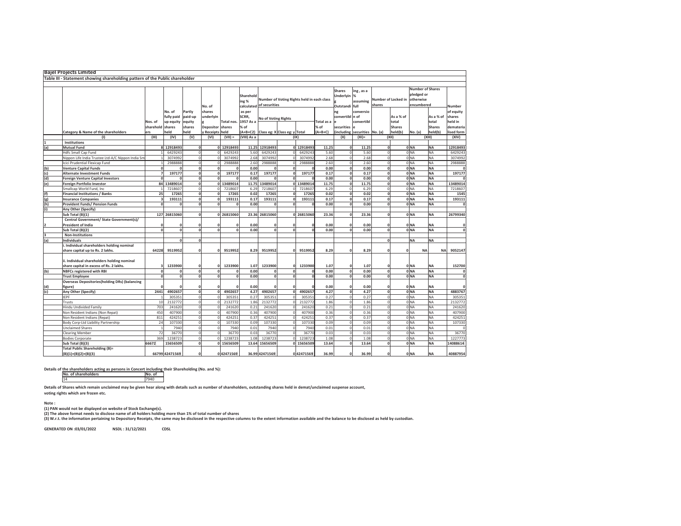|     | <b>Bajel Projects Limited</b>                                                |                         |                |             |               |              |                                  |                     |                                            |            |            |                                         |                                    |        |                     |                                       |                         |              |
|-----|------------------------------------------------------------------------------|-------------------------|----------------|-------------|---------------|--------------|----------------------------------|---------------------|--------------------------------------------|------------|------------|-----------------------------------------|------------------------------------|--------|---------------------|---------------------------------------|-------------------------|--------------|
|     | Table III - Statement showing shareholding pattern of the Public shareholder |                         |                |             |               |              |                                  |                     |                                            |            |            |                                         |                                    |        |                     |                                       |                         |              |
|     |                                                                              |                         |                |             |               |              |                                  |                     |                                            |            |            |                                         |                                    |        |                     |                                       |                         |              |
|     |                                                                              |                         |                |             | No. of        |              | Sharehold<br>ing %<br>calculated | of securities       | Number of Voting Rights held in each class |            |            | <b>Shares</b><br>Underlyin<br>Outstandi | ing, as a<br>%<br>assuming<br>full | shares | Number of Locked in | pledged or<br>otherwise<br>encumbered | <b>Number of Shares</b> | Number       |
|     |                                                                              |                         | No. of         | Partly      | shares        |              | as per                           |                     |                                            |            |            | ng                                      | conversio                          |        |                     |                                       |                         | of equity    |
|     |                                                                              |                         | fully paid     | paid-up     | underlyin     |              | SCRR,                            | No of Voting Rights |                                            |            |            | convertibl                              | n of                               |        | As a % of           |                                       | As a % of               | shares       |
|     |                                                                              | Nos. of                 | up equity      | equity      |               | Total nos.   | 1957 As a                        |                     |                                            |            | Total as a | le                                      | convertibl                         |        | total               |                                       | total                   | held in      |
|     |                                                                              | sharehold               | shares         | shares      | Depositor     | shares       | % of                             |                     |                                            |            | % of       | securities                              |                                    |        | <b>Shares</b>       |                                       | <b>Shares</b>           | demateria    |
|     | Category & Name of the shareholders                                          | ers                     | held           | held        | Receipts held |              | $(A+B+C2)$                       |                     | Class eg: X Class eg: y Total              |            | $(A+B+C)$  | (including                              | securities No. (a)                 |        | held(b)             | No. (a)                               | held(b)                 | ised form    |
|     | (1)                                                                          | (III)                   | (IV)           | (V)         | (VI)          | $(VII) =$    | (VIII) As a                      |                     | (IX)                                       |            |            | (X)                                     | $(XI) =$                           |        | (XII)               |                                       | (XIII)                  | (XIV)        |
|     | Institutions                                                                 |                         |                |             |               |              |                                  |                     |                                            |            |            |                                         |                                    |        |                     |                                       |                         |              |
| (a) | <b>Mutual Fund</b>                                                           |                         | 8 12918493     |             |               | 0 1291849    | 11.25                            | 12918493            |                                            | 0 12918493 | 11.25      | $\mathbf{0}$                            | 11.25                              |        | $\Omega$            | 0 <sub>NA</sub>                       | <b>NA</b>               | 12918493     |
|     | Hdfc Small Cap Fund                                                          | 1                       | 6429243        | $\Omega$    | $\circ$       | 6429243      | 5.60                             | 6429243             |                                            | 6429243    | 5.60       | $\overline{0}$                          | 5.60                               |        | $\circ$             | 0 <sub>NA</sub>                       | <b>NA</b>               | 6429243      |
|     | Nippon Life India Trustee Ltd-A/C Nippon India Sm                            | $\mathbf{1}$            | 3074992        | $\Omega$    | $\Omega$      | 3074992      | 2.68                             | 3074992             |                                            | 3074992    | 2.68       | $\overline{0}$                          | 2.68                               |        | $\circ$             | 0 <sub>NA</sub>                       | <b>NA</b>               | 3074992      |
|     | Icici Prudential Flexicap Fund                                               |                         | 2988888        | $\Omega$    | $\Omega$      | 2988888      | 2.60                             | 2988888             |                                            | 2988888    | 2.60       | $\circ$                                 | 2.60                               |        | $\mathsf{O}\xspace$ | 0 NA                                  | NA                      | 2988888      |
| (b) | <b>Venture Capital Funds</b>                                                 | $\Omega$                | $\mathbf{a}$   | $\Omega$    | $\mathbf{0}$  |              | 0.00                             | $\Omega$            | $\Omega$                                   |            | 0.00       | $\mathbf{0}$                            | 0.00                               |        | $\mathbf{o}$        | 0 <sub>NA</sub>                       | <b>NA</b>               |              |
| (c) | <b>Alternate Investment Funds</b>                                            | $\overline{z}$          | 197177         | $\Omega$    | $\mathbf{0}$  | 197177       | 0.17                             | 197177              | $\mathbf{0}$                               | 197177     | 0.17       | $\mathbf{0}$                            | 0.17                               |        | $\mathbf{0}$        | 0 NA                                  | <b>NA</b>               | 197177       |
| (d) | <b>Foreign Venture Capital Investors</b>                                     | $\mathbf{0}$            | $\mathbf{a}$   | $\Omega$    | ol            |              | 0.00                             | $\Omega$            | $\Omega$                                   |            | 0.00       | $\Omega$                                | 0.00                               |        | $\mathbf{0}$        | 0 NA                                  | <b>NA</b>               |              |
| (e) | Foreign Portfolio Investor                                                   |                         | 84 13489014    | $\Omega$    |               | 0 13489014   | 11.75                            | 13489014            |                                            | 0 13489014 | 11.75      | $\mathbf{0}$                            | 11.75                              |        | $\mathbf{0}$        | 0 NA                                  | <b>NA</b>               | 13489014     |
|     | Smallcap World Fund, Inc                                                     | $\mathbf{1}$            | 7218607        | $\Omega$    | $\Omega$      | 7218607      | 6.29                             | 7218607             | $\Omega$                                   | 7218607    | 6.29       | $\Omega$                                | 6.29                               |        | $\circ$             | 0 <sub>NA</sub>                       | <b>NA</b>               | 7218607      |
| (f) | <b>Financial Institutions / Banks</b>                                        | 25                      | 17265          | $\Omega$    | $\mathbf{0}$  | 17265        | 0.02                             | 17265               | $\mathbf{0}$                               | 17265      | 0.02       | $\mathbf{o}$                            | 0.02                               |        | $\mathbf{0}$        | 0 NA                                  | <b>NA</b>               | 1545         |
| (g) | <b>Insurance Companies</b>                                                   | 3                       | 193111         | $\Omega$    | $\mathbf{0}$  | 193111       | 0.17                             | 193111              | $\mathbf{0}$                               | 193111     | 0.17       | $\mathbf{0}$                            | 0.17                               |        | $\mathbf{0}$        | 0 <sub>NA</sub>                       | <b>NA</b>               | 193111       |
| (h) | <b>Provident Funds/ Pension Funds</b>                                        | $\mathbf{0}$            | $\Omega$       | $\Omega$    | $\Omega$      | $\Omega$     | 0.00                             | $\mathbf 0$         | $\Omega$                                   |            | 0.00       | $\Omega$                                | 0.00                               |        | $\mathbf{0}$        | 0 <sub>NA</sub>                       | <b>NA</b>               | $\Omega$     |
| (i) | Any Other (Specify)                                                          |                         |                |             |               |              |                                  |                     |                                            |            |            |                                         |                                    |        |                     |                                       |                         |              |
|     | Sub Total (B)(1)                                                             |                         | 127 26815060   |             |               | 0 26815060   |                                  | 23.36 26815060      |                                            | 0 26815060 | 23.36      | $\Omega$                                | 23.36                              |        | $\Omega$            | 0 <sub>NA</sub>                       | <b>NA</b>               | 26799340     |
|     | Central Government/ State Government(s)/                                     |                         |                |             |               |              |                                  |                     |                                            |            |            |                                         |                                    |        |                     |                                       |                         |              |
| 2   | President of India                                                           | 0                       | $\Omega$       | $\Omega$    | O             | $\mathbf{0}$ | 0.00                             | $\Omega$            | $\Omega$                                   |            | 0.00       | $\Omega$                                | 0.00                               |        | 0                   | 0 NA                                  | <b>NA</b>               | $\mathbf 0$  |
|     | Sub Total (B)(2)                                                             | $\mathbf{0}$            | ol             | $\Omega$    | $\mathbf{0}$  | $\Omega$     | 0.00                             | $\mathbf{0}$        | $\mathbf{o}$                               |            | 0.00       | $\Omega$                                | 0.00                               |        | $\mathbf{0}$        | 0 <sub>NA</sub>                       | <b>NA</b>               | $\mathbf{0}$ |
| lз  | Non-Institutions                                                             |                         |                |             |               |              |                                  |                     |                                            |            |            |                                         |                                    |        |                     |                                       |                         |              |
| (a) | <b>Individuals</b>                                                           |                         | $\mathbf{0}$   | $\Omega$    |               |              |                                  |                     |                                            |            |            |                                         |                                    |        | 0                   | <b>NA</b>                             | <b>NA</b>               |              |
|     | . Individual shareholders holding nominal                                    |                         |                |             |               |              |                                  |                     |                                            |            |            |                                         |                                    |        |                     |                                       |                         |              |
|     | share capital up to Rs. 2 lakhs.                                             | 64228                   | 9519952        | $\Omega$    | $\mathbf{0}$  | 9519952      | 8.29                             | 9519952             | $\Omega$                                   | 9519952    | 8.29       | $\Omega$                                | 8.29                               |        | 0                   |                                       | <b>NA</b><br><b>NA</b>  | 9052147      |
|     | ii. Individual shareholders holding nominal                                  |                         |                |             |               |              |                                  |                     |                                            |            |            |                                         |                                    |        |                     |                                       |                         |              |
|     | share capital in excess of Rs. 2 lakhs.                                      | $\overline{\mathbf{3}}$ | 1233900        | $\Omega$    | ol            | 1233900      | 1.07                             | 1233900             | o                                          | 1233900    | 1.07       | $\Omega$                                | 1.07                               |        | $\Omega$            | 0 <sub>NA</sub>                       | <b>NA</b>               | 152700       |
| (b) | <b>NBFCs registered with RBI</b>                                             | $\mathbf{0}$            | 0              | $\Omega$    | $\mathbf{0}$  | $\Omega$     | 0.00                             | $\mathbf 0$         | $\mathbf{0}$                               |            | 0.00       | $\mathbf{o}$                            | 0.00                               |        | ol                  | ONA                                   | <b>NA</b>               | $\mathbf 0$  |
|     | <b>Trust Employee</b>                                                        | $\Omega$                | 0              | $\Omega$    | $\mathbf{0}$  | $\mathbf{0}$ | 0.00                             | $\mathbf 0$         | $\mathbf{0}$                               | n          | 0.00       | $\Omega$                                | 0.00                               |        | $\mathbf{0}$        | 0 <sub>NA</sub>                       | <b>NA</b>               | $\mathbf{0}$ |
|     | <b>Overseas Depositories(holding DRs) (balancing</b>                         |                         |                |             |               |              |                                  |                     |                                            |            |            |                                         |                                    |        |                     |                                       |                         |              |
| (d) | figure)                                                                      | $\Omega$                | $\Omega$       | $\Omega$    | $\mathbf{0}$  |              | 0.00                             | $\Omega$            | $\Omega$                                   |            | 0.00       | $\mathbf{0}$                            | 0.00                               |        | o                   | 0 <sub>NA</sub>                       | <b>NA</b>               | $\Omega$     |
| (c) | Any Other (Specify)                                                          | 2441                    | 4902657        | $\Omega$    | $\mathbf{o}$  | 4902657      | 4.27                             | 4902657             | ol                                         | 4902657    | 4.27       | $\mathbf{o}$                            | 4.27                               |        | $\pmb{\mathsf{o}}$  | 0 NA                                  | <b>NA</b>               | 4883767      |
|     | <b>IEPF</b>                                                                  |                         | 305351         | $\Omega$    | $\Omega$      | 30535:       | 0.27                             | 305351              |                                            | 305351     | 0.27       | $\Omega$                                | 0.27                               |        | $\Omega$            | 0 <sub>NA</sub>                       | <b>NA</b>               | 305351       |
|     | Trusts                                                                       | 10                      | 2132772        | $\Omega$    | $\Omega$      | 2132772      | 1.86                             | 2132772             |                                            | 2132772    | 1.86       | $\overline{0}$                          | 1.86                               |        | $\circ$             | 0 <sub>NA</sub>                       | NA                      | 2132772      |
|     | Hindu Undivided Family                                                       | 703                     | 241620         | $\Omega$    | $\mathbf 0$   | 241620       | 0.21                             | 241620              | $\Omega$                                   | 241620     | 0.21       | $\mathbf 0$                             | 0.21                               |        | $\circ$             | 0 <sub>NA</sub>                       | <b>NA</b>               | 241620       |
|     | Non Resident Indians (Non Repat)                                             | 450                     | 407900         | $\Omega$    | $\Omega$      | 407900       | 0.36                             | 407900              | $\circ$                                    | 407900     | 0.36       | $\Omega$                                | 0.36                               |        | $\Omega$            | 0 NA                                  | <b>NA</b>               | 407900       |
|     | Non Resident Indians (Repat)                                                 | 811                     | 424251         | $\circ$     | $\mathbf 0$   | 424251       | 0.37                             | 424251              | $\circ$                                    | 424251     | 0.37       | $\overline{0}$                          | 0.37                               |        | $\circ$             | 0 <sub>NA</sub>                       | <b>NA</b>               | 424251       |
|     | Body Corp-Ltd Liability Partnership                                          | 24                      | 107330         | $\mathbf 0$ | $\mathbf 0$   | 107330       | 0.09                             | 107330              | $\circ$                                    | 107330     | 0.09       | $\circ$                                 | 0.09                               |        | $\circ$             | 0 NA                                  | NA                      | 107330       |
|     | Unclaimed Shares                                                             | $\mathbf{1}$            | 7940           | $\Omega$    | $\mathbf 0$   | 7940         | 0.01                             | 7940                | $\circ$                                    | 7940       | 0.01       | $\Omega$                                | 0.01                               |        | $\overline{0}$      | 0 <sub>NA</sub>                       | <b>NA</b>               |              |
|     | <b>Clearing Member</b>                                                       | 72                      | 36770          | $\circ$     | $\circ$       | 36770        | 0.03                             | 36770               | $\circ$                                    | 36770      | 0.03       | $\circ$                                 | 0.03                               |        | $\circ$             | 0 <sub>NA</sub>                       | <b>NA</b>               | 36770        |
|     | <b>Bodies Corporate</b>                                                      | 369                     | 1238723        | $\mathbf 0$ | οI            | 1238723      | 1.08                             | 1238723             | $\circ$                                    | 1238723    | 1.08       | $\overline{0}$                          | 1.08                               |        | $\circ$             | 0 <sub>NA</sub>                       | <b>NA</b>               | 1227773      |
|     | Sub Total (B)(3)                                                             | 66672                   | 15656509       | $\Omega$    |               | 0 15656509   |                                  | 13.64 15656509      |                                            | 0 15656509 | 13.64      | $\Omega$                                | 13.64                              |        | $\Omega$            | 0 <sub>NA</sub>                       | <b>NA</b>               | 14088614     |
|     | <b>Total Public Shareholding (B)=</b>                                        |                         |                | $\Omega$    |               |              |                                  |                     |                                            |            |            |                                         |                                    |        |                     |                                       |                         |              |
|     | $(B)(1)+(B)(2)+(B)(3)$                                                       |                         | 66799 42471569 |             |               | 042471569    |                                  | 36.99 42471569      |                                            | 042471569  | 36.99      | $\mathbf{0}$                            | 36.99                              |        | 0                   | 0 <sub>NA</sub>                       | <b>NA</b>               | 40887954     |

**Details of Shares which remain unclaimed may be given hear along with details such as number of shareholders, outstanding shares held in demat/unclaimed suspense account, voting rights which are frozen etc.**

## **Note :**

**(1) PAN would not be displayed on website of Stock Exchange(s).** 

(2) The above format needs to disclose name of all holders holding more than 1% of total number of shares<br>(3) W.r.t. the information pertaining to Depository Receipts, the same may be disclosed in the respective columns to

**GENERATED ON :03/01/2022 NSDL : 31/12/2021 CDSL** 

**Details of the shareholders acting as persons in Concert including their Shareholding (No. and %):<br>No. of shareholders<br>** $\frac{14}{14}$